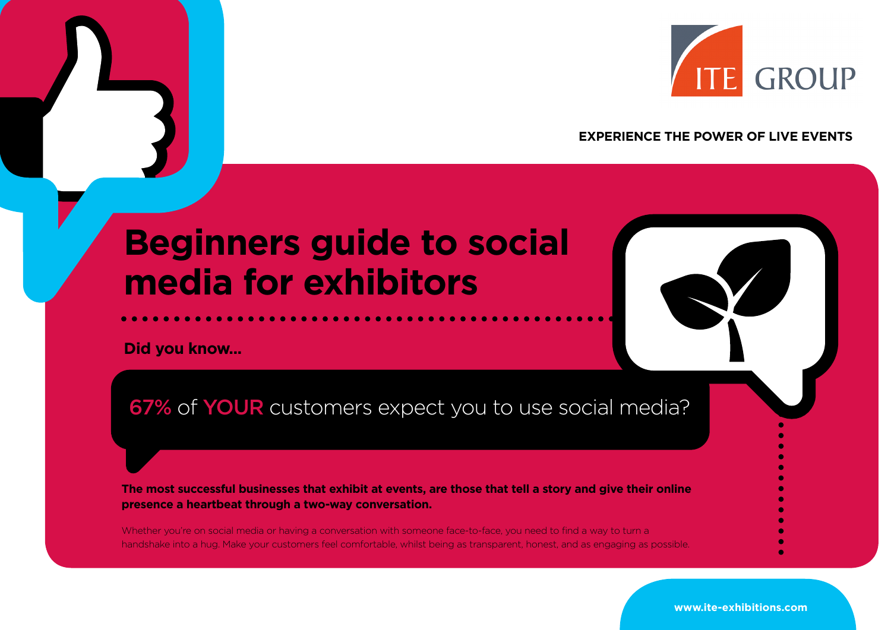

### **EXPERIENCE THE POWER OF LIVE EVENTS**

# **Beginners guide to social media for exhibitors**

**Did you know...**

67% of YOUR customers expect you to use social media?

**The most successful businesses that exhibit at events, are those that tell a story and give their online presence a heartbeat through a two-way conversation.**

Whether you're on social media or having a conversation with someone face-to-face, you need to find a way to turn a handshake into a hug. Make your customers feel comfortable, whilst being as transparent, honest, and as engaging as possible.

**www.ite-exhibitions.com**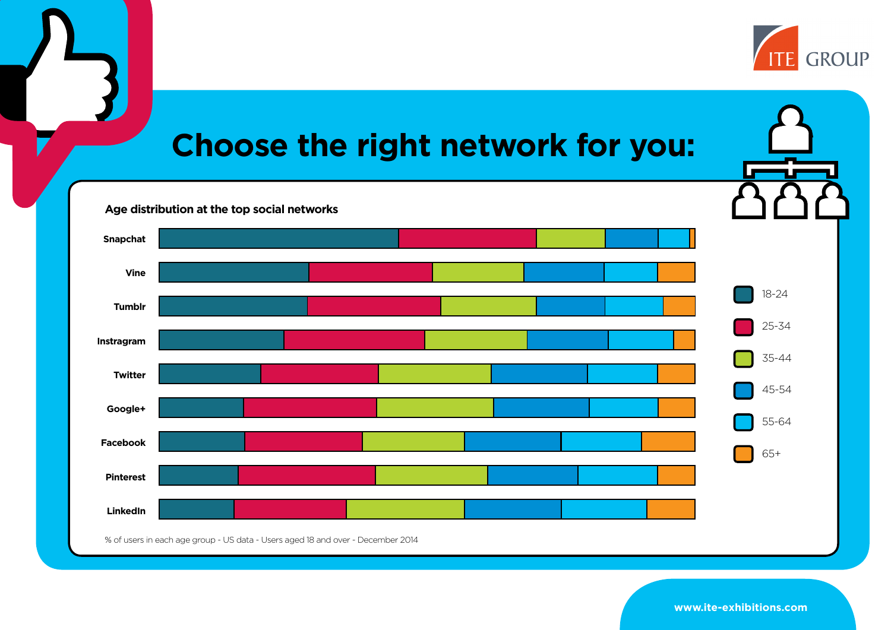

## **Choose the right network for you:** 18-24 25-34 35-44 45-54 55-64 65+ **Snapchat Vine Tumblr Instragram Twitter Google+ Facebook Pinterest LinkedIn Age distribution at the top social networks** % of users in each age group - US data - Users aged 18 and over - December 2014

**www.ite-exhibitions.com**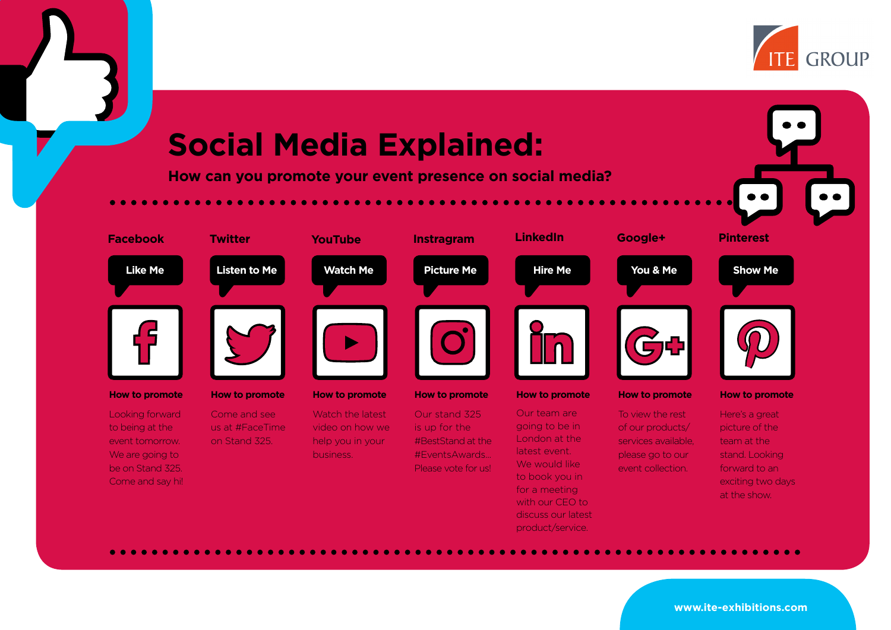

# **Social Media Explained:**

**How can you promote your event presence on social media?**